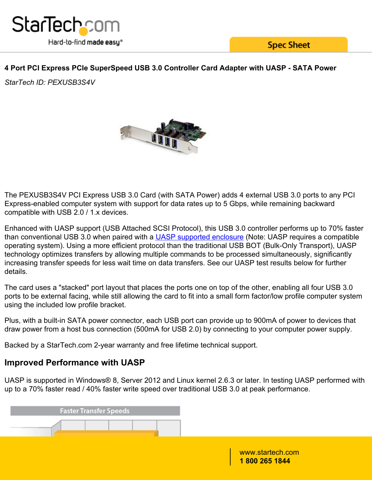

**Spec Sheet** 

### **4 Port PCI Express PCIe SuperSpeed USB 3.0 Controller Card Adapter with UASP - SATA Power**

*StarTech ID: PEXUSB3S4V*



The PEXUSB3S4V PCI Express USB 3.0 Card (with SATA Power) adds 4 external USB 3.0 ports to any PCI Express-enabled computer system with support for data rates up to 5 Gbps, while remaining backward compatible with USB 2.0 / 1.x devices.

Enhanced with UASP support (USB Attached SCSI Protocol), this USB 3.0 controller performs up to 70% faster than conventional USB 3.0 when paired with a **UASP supported enclosure** (Note: UASP requires a compatible operating system). Using a more efficient protocol than the traditional USB BOT (Bulk-Only Transport), UASP technology optimizes transfers by allowing multiple commands to be processed simultaneously, significantly increasing transfer speeds for less wait time on data transfers. See our UASP test results below for further details.

The card uses a "stacked" port layout that places the ports one on top of the other, enabling all four USB 3.0 ports to be external facing, while still allowing the card to fit into a small form factor/low profile computer system using the included low profile bracket.

Plus, with a built-in SATA power connector, each USB port can provide up to 900mA of power to devices that draw power from a host bus connection (500mA for USB 2.0) by connecting to your computer power supply.

Backed by a StarTech.com 2-year warranty and free lifetime technical support.

## **Improved Performance with UASP**

UASP is supported in Windows® 8, Server 2012 and Linux kernel 2.6.3 or later. In testing UASP performed with up to a 70% faster read / 40% faster write speed over traditional USB 3.0 at peak performance.

|  | <b>Faster Transfer Speeds</b> |  |  |
|--|-------------------------------|--|--|
|  |                               |  |  |
|  |                               |  |  |

www.startech.com **1 800 265 1844**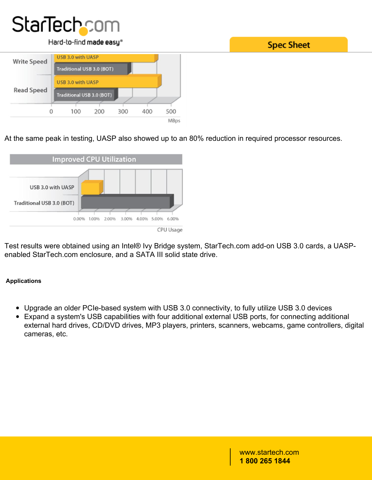# **StarTech**com

#### Hard-to-find made easy®



At the same peak in testing, UASP also showed up to an 80% reduction in required processor resources.



Test results were obtained using an Intel® Ivy Bridge system, StarTech.com add-on USB 3.0 cards, a UASPenabled StarTech.com enclosure, and a SATA III solid state drive.

### **Applications**

- Upgrade an older PCIe-based system with USB 3.0 connectivity, to fully utilize USB 3.0 devices
- Expand a system's USB capabilities with four additional external USB ports, for connecting additional external hard drives, CD/DVD drives, MP3 players, printers, scanners, webcams, game controllers, digital cameras, etc.

www.startech.com **1 800 265 1844**

**Spec Sheet**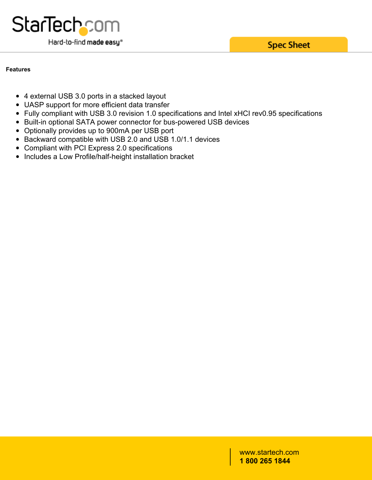**Spec Sheet** 



#### **Features**

- 4 external USB 3.0 ports in a stacked layout
- UASP support for more efficient data transfer
- Fully compliant with USB 3.0 revision 1.0 specifications and Intel xHCI rev0.95 specifications
- Built-in optional SATA power connector for bus-powered USB devices
- Optionally provides up to 900mA per USB port
- Backward compatible with USB 2.0 and USB 1.0/1.1 devices
- Compliant with PCI Express 2.0 specifications
- Includes a Low Profile/half-height installation bracket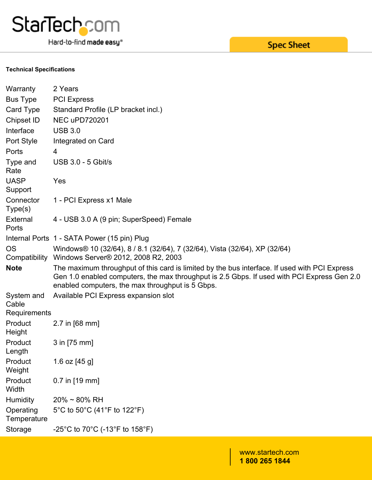

Hard-to-find made easy®

# **Spec Sheet**

#### **Technical Specifications**

| Warranty                            | 2 Years                                                                                                                                                                                                                                          |
|-------------------------------------|--------------------------------------------------------------------------------------------------------------------------------------------------------------------------------------------------------------------------------------------------|
| <b>Bus Type</b>                     | <b>PCI Express</b>                                                                                                                                                                                                                               |
| Card Type                           | Standard Profile (LP bracket incl.)                                                                                                                                                                                                              |
| Chipset ID                          | <b>NEC uPD720201</b>                                                                                                                                                                                                                             |
| Interface                           | <b>USB 3.0</b>                                                                                                                                                                                                                                   |
| Port Style                          | Integrated on Card                                                                                                                                                                                                                               |
| Ports                               | 4                                                                                                                                                                                                                                                |
| Type and<br>Rate                    | <b>USB 3.0 - 5 Gbit/s</b>                                                                                                                                                                                                                        |
| <b>UASP</b>                         | Yes                                                                                                                                                                                                                                              |
| Support                             |                                                                                                                                                                                                                                                  |
| Connector<br>Type(s)                | 1 - PCI Express x1 Male                                                                                                                                                                                                                          |
| External<br>Ports                   | 4 - USB 3.0 A (9 pin; SuperSpeed) Female                                                                                                                                                                                                         |
|                                     | Internal Ports 1 - SATA Power (15 pin) Plug                                                                                                                                                                                                      |
| <b>OS</b><br>Compatibility          | Windows® 10 (32/64), 8 / 8.1 (32/64), 7 (32/64), Vista (32/64), XP (32/64)<br>Windows Server® 2012, 2008 R2, 2003                                                                                                                                |
| <b>Note</b>                         | The maximum throughput of this card is limited by the bus interface. If used with PCI Express<br>Gen 1.0 enabled computers, the max throughput is 2.5 Gbps. If used with PCI Express Gen 2.0<br>enabled computers, the max throughput is 5 Gbps. |
| System and<br>Cable<br>Requirements | Available PCI Express expansion slot                                                                                                                                                                                                             |
| Product<br>Height                   | 2.7 in [68 mm]                                                                                                                                                                                                                                   |
| Product<br>Length                   | 3 in [75 mm]                                                                                                                                                                                                                                     |
| Product<br>Weight                   | 1.6 oz [45 g]                                                                                                                                                                                                                                    |
| Product<br>Width                    | 0.7 in [19 mm]                                                                                                                                                                                                                                   |
| <b>Humidity</b>                     | $20\% \sim 80\% \text{ RH}$                                                                                                                                                                                                                      |
| Operating<br>Temperature            | 5°C to 50°C (41°F to 122°F)                                                                                                                                                                                                                      |
| Storage                             | -25°C to 70°C (-13°F to 158°F)                                                                                                                                                                                                                   |
|                                     |                                                                                                                                                                                                                                                  |

www.startech.com **1 800 265 1844**